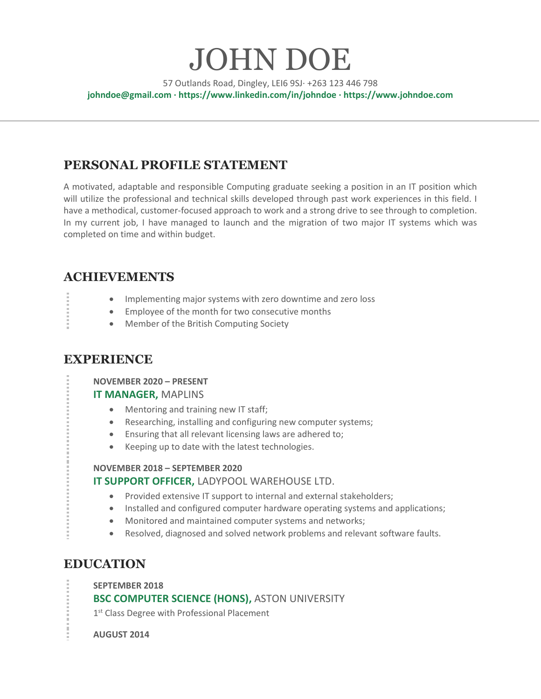# JOHN DOE

57 Outlands Road, Dingley, LEI6 9SJ· +263 123 446 798 **johndoe@gmail.com · https://www.linkedin.com/in/johndoe · https://www.johndoe.com**

# **PERSONAL PROFILE STATEMENT**

A motivated, adaptable and responsible Computing graduate seeking a position in an IT position which will utilize the professional and technical skills developed through past work experiences in this field. I have a methodical, customer-focused approach to work and a strong drive to see through to completion. In my current job, I have managed to launch and the migration of two major IT systems which was completed on time and within budget.

# **ACHIEVEMENTS**

- Implementing major systems with zero downtime and zero loss
- Employee of the month for two consecutive months
- Member of the British Computing Society

## **EXPERIENCE**

**NOVEMBER 2020 – PRESENT**

#### **IT MANAGER,** MAPLINS

- Mentoring and training new IT staff;
- Researching, installing and configuring new computer systems;
- Ensuring that all relevant licensing laws are adhered to;
- Keeping up to date with the latest technologies.

#### **NOVEMBER 2018 – SEPTEMBER 2020**

#### **IT SUPPORT OFFICER,** LADYPOOL WAREHOUSE LTD.

- Provided extensive IT support to internal and external stakeholders;
- Installed and configured computer hardware operating systems and applications;
- Monitored and maintained computer systems and networks;
- Resolved, diagnosed and solved network problems and relevant software faults.

## **EDUCATION**

**SEPTEMBER 2018**

**BSC COMPUTER SCIENCE (HONS),** ASTON UNIVERSITY

1<sup>st</sup> Class Degree with Professional Placement

**AUGUST 2014**